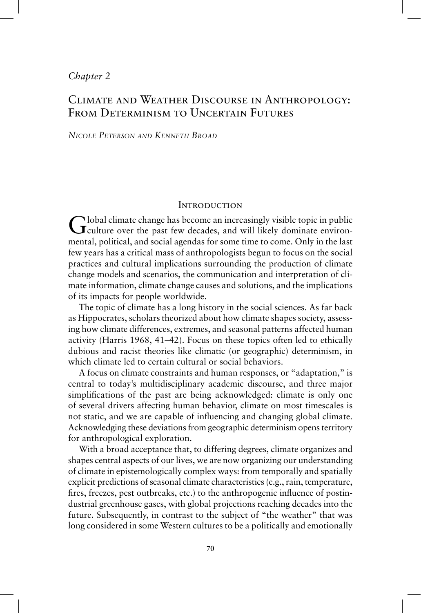### *Chapter 2*

# Climate and Weather Discourse in Anthropology: FROM DETERMINISM TO UNCERTAIN FUTURES

### *NICOLE PETERSON AND KENNETH BROAD*

### **INTRODUCTION**

Global climate change has become an increasingly visible topic in public culture over the past few decades, and will likely dominate environmental, political, and social agendas for some time to come. Only in the last few years has a critical mass of anthropologists begun to focus on the social practices and cultural implications surrounding the production of climate change models and scenarios, the communication and interpretation of climate information, climate change causes and solutions, and the implications of its impacts for people worldwide.

The topic of climate has a long history in the social sciences. As far back as Hippocrates, scholars theorized about how climate shapes society, assessing how climate differences, extremes, and seasonal patterns affected human activity (Harris 1968, 41–42). Focus on these topics often led to ethically dubious and racist theories like climatic (or geographic) determinism, in which climate led to certain cultural or social behaviors.

A focus on climate constraints and human responses, or "adaptation," is central to today's multidisciplinary academic discourse, and three major simplifications of the past are being acknowledged: climate is only one of several drivers affecting human behavior, climate on most timescales is not static, and we are capable of influencing and changing global climate. Acknowledging these deviations from geographic determinism opens territory for anthropological exploration.

With a broad acceptance that, to differing degrees, climate organizes and shapes central aspects of our lives, we are now organizing our understanding of climate in epistemologically complex ways: from temporally and spatially explicit predictions of seasonal climate characteristics (e.g., rain, temperature, fires, freezes, pest outbreaks, etc.) to the anthropogenic influence of postindustrial greenhouse gases, with global projections reaching decades into the future. Subsequently, in contrast to the subject of "the weather" that was long considered in some Western cultures to be a politically and emotionally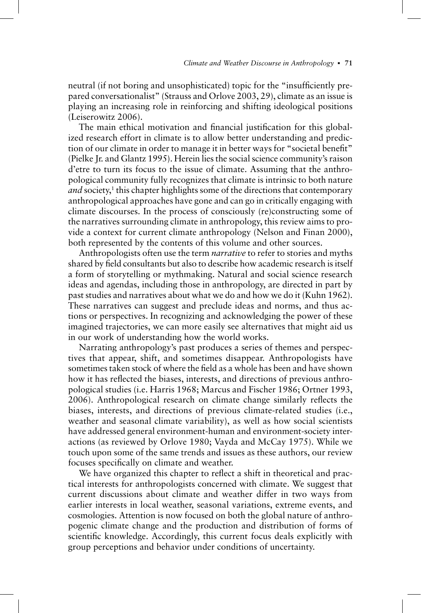neutral (if not boring and unsophisticated) topic for the "insufficiently prepared conversationalist" (Strauss and Orlove 2003, 29), climate as an issue is playing an increasing role in reinforcing and shifting ideological positions (Leiserowitz 2006).

The main ethical motivation and financial justification for this globalized research effort in climate is to allow better understanding and prediction of our climate in order to manage it in better ways for "societal benefit" (Pielke Jr. and Glantz 1995). Herein lies the social science community's raison d'etre to turn its focus to the issue of climate. Assuming that the anthropological community fully recognizes that climate is intrinsic to both nature and society,<sup>1</sup> this chapter highlights some of the directions that contemporary anthropological approaches have gone and can go in critically engaging with climate discourses. In the process of consciously (re)constructing some of the narratives surrounding climate in anthropology, this review aims to provide a context for current climate anthropology (Nelson and Finan 2000), both represented by the contents of this volume and other sources.

Anthropologists often use the term *narrative* to refer to stories and myths shared by field consultants but also to describe how academic research is itself a form of storytelling or mythmaking. Natural and social science research ideas and agendas, including those in anthropology, are directed in part by past studies and narratives about what we do and how we do it (Kuhn 1962). These narratives can suggest and preclude ideas and norms, and thus actions or perspectives. In recognizing and acknowledging the power of these imagined trajectories, we can more easily see alternatives that might aid us in our work of understanding how the world works.

Narrating anthropology's past produces a series of themes and perspectives that appear, shift, and sometimes disappear. Anthropologists have sometimes taken stock of where the field as a whole has been and have shown how it has reflected the biases, interests, and directions of previous anthropological studies (i.e. Harris 1968; Marcus and Fischer 1986; Ortner 1993, 2006). Anthropological research on climate change similarly reflects the biases, interests, and directions of previous climate-related studies (i.e., weather and seasonal climate variability), as well as how social scientists have addressed general environment-human and environment-society interactions (as reviewed by Orlove 1980; Vayda and McCay 1975). While we touch upon some of the same trends and issues as these authors, our review focuses specifically on climate and weather.

We have organized this chapter to reflect a shift in theoretical and practical interests for anthropologists concerned with climate. We suggest that current discussions about climate and weather differ in two ways from earlier interests in local weather, seasonal variations, extreme events, and cosmologies. Attention is now focused on both the global nature of anthropogenic climate change and the production and distribution of forms of scientific knowledge. Accordingly, this current focus deals explicitly with group perceptions and behavior under conditions of uncertainty.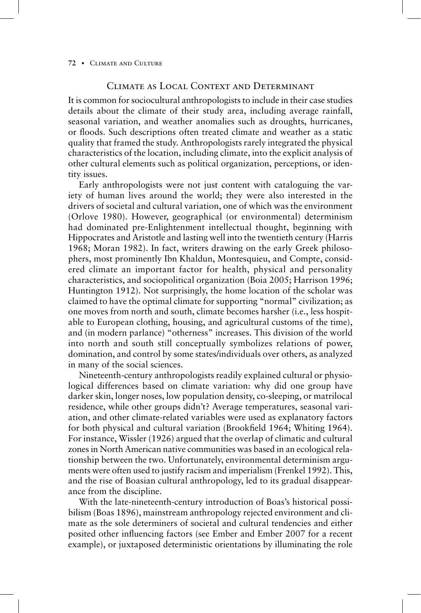### Climate as Local Context and Determinant

It is common for sociocultural anthropologists to include in their case studies details about the climate of their study area, including average rainfall, seasonal variation, and weather anomalies such as droughts, hurricanes, or floods. Such descriptions often treated climate and weather as a static quality that framed the study. Anthropologists rarely integrated the physical characteristics of the location, including climate, into the explicit analysis of other cultural elements such as political organization, perceptions, or identity issues.

Early anthropologists were not just content with cataloguing the variety of human lives around the world; they were also interested in the drivers of societal and cultural variation, one of which was the environment (Orlove 1980). However, geographical (or environmental) determinism had dominated pre-Enlightenment intellectual thought, beginning with Hippocrates and Aristotle and lasting well into the twentieth century (Harris 1968; Moran 1982). In fact, writers drawing on the early Greek philosophers, most prominently Ibn Khaldun, Montesquieu, and Compte, considered climate an important factor for health, physical and personality characteristics, and sociopolitical organization (Boia 2005; Harrison 1996; Huntington 1912). Not surprisingly, the home location of the scholar was claimed to have the optimal climate for supporting "normal" civilization; as one moves from north and south, climate becomes harsher (i.e., less hospitable to European clothing, housing, and agricultural customs of the time), and (in modern parlance) "otherness" increases. This division of the world into north and south still conceptually symbolizes relations of power, domination, and control by some states/individuals over others, as analyzed in many of the social sciences.

Nineteenth-century anthropologists readily explained cultural or physiological differences based on climate variation: why did one group have darker skin, longer noses, low population density, co-sleeping, or matrilocal residence, while other groups didn't? Average temperatures, seasonal variation, and other climate-related variables were used as explanatory factors for both physical and cultural variation (Brookfield 1964; Whiting 1964). For instance, Wissler (1926) argued that the overlap of climatic and cultural zones in North American native communities was based in an ecological relationship between the two. Unfortunately, environmental determinism arguments were often used to justify racism and imperialism (Frenkel 1992). This, and the rise of Boasian cultural anthropology, led to its gradual disappearance from the discipline.

With the late-nineteenth-century introduction of Boas's historical possibilism (Boas 1896), mainstream anthropology rejected environment and climate as the sole determiners of societal and cultural tendencies and either posited other influencing factors (see Ember and Ember 2007 for a recent example), or juxtaposed deterministic orientations by illuminating the role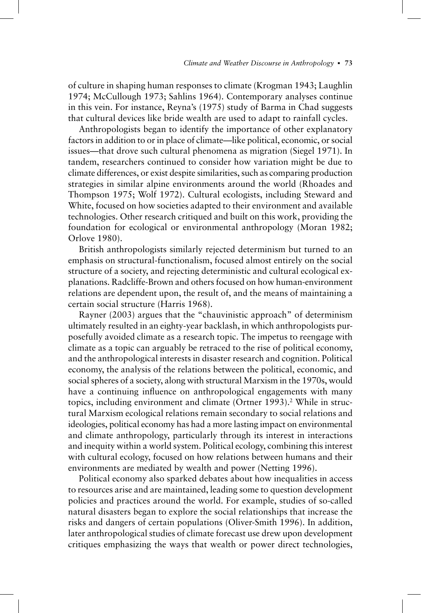of culture in shaping human responses to climate (Krogman 1943; Laughlin 1974; McCullough 1973; Sahlins 1964). Contemporary analyses continue in this vein. For instance, Reyna's (1975) study of Barma in Chad suggests that cultural devices like bride wealth are used to adapt to rainfall cycles.

Anthropologists began to identify the importance of other explanatory factors in addition to or in place of climate—like political, economic, or social issues—that drove such cultural phenomena as migration (Siegel 1971). In tandem, researchers continued to consider how variation might be due to climate differences, or exist despite similarities, such as comparing production strategies in similar alpine environments around the world (Rhoades and Thompson 1975; Wolf 1972). Cultural ecologists, including Steward and White, focused on how societies adapted to their environment and available technologies. Other research critiqued and built on this work, providing the foundation for ecological or environmental anthropology (Moran 1982; Orlove 1980).

British anthropologists similarly rejected determinism but turned to an emphasis on structural-functionalism, focused almost entirely on the social structure of a society, and rejecting deterministic and cultural ecological explanations. Radcliffe-Brown and others focused on how human-environment relations are dependent upon, the result of, and the means of maintaining a certain social structure (Harris 1968).

Rayner (2003) argues that the "chauvinistic approach" of determinism ultimately resulted in an eighty-year backlash, in which anthropologists purposefully avoided climate as a research topic. The impetus to reengage with climate as a topic can arguably be retraced to the rise of political economy, and the anthropological interests in disaster research and cognition. Political economy, the analysis of the relations between the political, economic, and social spheres of a society, along with structural Marxism in the 1970s, would have a continuing influence on anthropological engagements with many topics, including environment and climate (Ortner 1993).<sup>2</sup> While in structural Marxism ecological relations remain secondary to social relations and ideologies, political economy has had a more lasting impact on environmental and climate anthropology, particularly through its interest in interactions and inequity within a world system. Political ecology, combining this interest with cultural ecology, focused on how relations between humans and their environments are mediated by wealth and power (Netting 1996).

Political economy also sparked debates about how inequalities in access to resources arise and are maintained, leading some to question development policies and practices around the world. For example, studies of so-called natural disasters began to explore the social relationships that increase the risks and dangers of certain populations (Oliver-Smith 1996). In addition, later anthropological studies of climate forecast use drew upon development critiques emphasizing the ways that wealth or power direct technologies,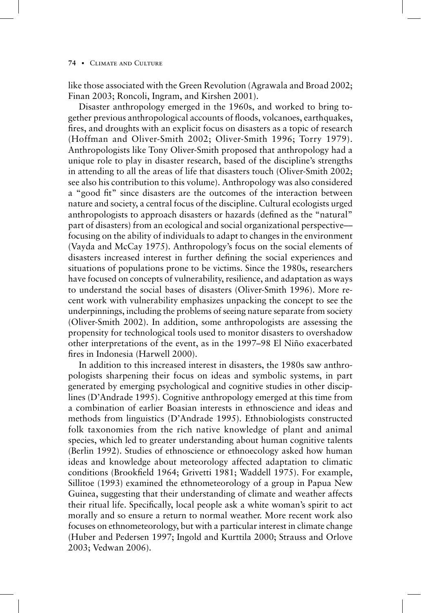like those associated with the Green Revolution (Agrawala and Broad 2002; Finan 2003; Roncoli, Ingram, and Kirshen 2001).

Disaster anthropology emerged in the 1960s, and worked to bring together previous anthropological accounts of floods, volcanoes, earthquakes, fires, and droughts with an explicit focus on disasters as a topic of research (Hoffman and Oliver-Smith 2002; Oliver-Smith 1996; Torry 1979). Anthropologists like Tony Oliver-Smith proposed that anthropology had a unique role to play in disaster research, based of the discipline's strengths in attending to all the areas of life that disasters touch (Oliver-Smith 2002; see also his contribution to this volume). Anthropology was also considered a "good fit" since disasters are the outcomes of the interaction between nature and society, a central focus of the discipline. Cultural ecologists urged anthropologists to approach disasters or hazards (defined as the "natural" part of disasters) from an ecological and social organizational perspective–– focusing on the ability of individuals to adapt to changes in the environment (Vayda and McCay 1975). Anthropology's focus on the social elements of disasters increased interest in further defining the social experiences and situations of populations prone to be victims. Since the 1980s, researchers have focused on concepts of vulnerability, resilience, and adaptation as ways to understand the social bases of disasters (Oliver-Smith 1996). More recent work with vulnerability emphasizes unpacking the concept to see the underpinnings, including the problems of seeing nature separate from society (Oliver-Smith 2002). In addition, some anthropologists are assessing the propensity for technological tools used to monitor disasters to overshadow other interpretations of the event, as in the 1997–98 El Niño exacerbated fires in Indonesia (Harwell 2000).

In addition to this increased interest in disasters, the 1980s saw anthropologists sharpening their focus on ideas and symbolic systems, in part generated by emerging psychological and cognitive studies in other disciplines (D'Andrade 1995). Cognitive anthropology emerged at this time from a combination of earlier Boasian interests in ethnoscience and ideas and methods from linguistics (D'Andrade 1995). Ethnobiologists constructed folk taxonomies from the rich native knowledge of plant and animal species, which led to greater understanding about human cognitive talents (Berlin 1992). Studies of ethnoscience or ethnoecology asked how human ideas and knowledge about meteorology affected adaptation to climatic conditions (Brookfield 1964; Grivetti 1981; Waddell 1975). For example, Sillitoe (1993) examined the ethnometeorology of a group in Papua New Guinea, suggesting that their understanding of climate and weather affects their ritual life. Specifically, local people ask a white woman's spirit to act morally and so ensure a return to normal weather. More recent work also focuses on ethnometeorology, but with a particular interest in climate change (Huber and Pedersen 1997; Ingold and Kurttila 2000; Strauss and Orlove 2003; Vedwan 2006).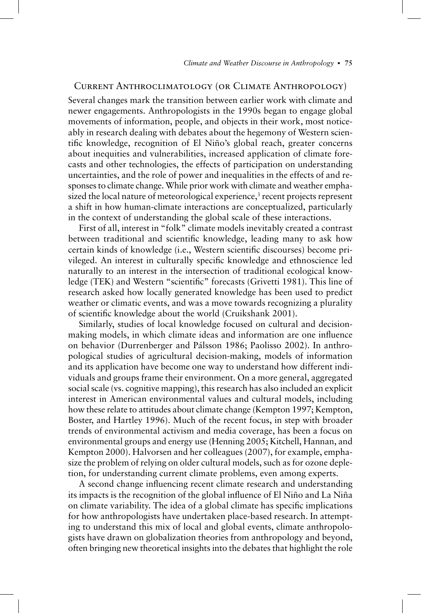### Current Anthroclimatology (or Climate Anthropology)

Several changes mark the transition between earlier work with climate and newer engagements. Anthropologists in the 1990s began to engage global movements of information, people, and objects in their work, most noticeably in research dealing with debates about the hegemony of Western scientific knowledge, recognition of El Niño's global reach, greater concerns about inequities and vulnerabilities, increased application of climate forecasts and other technologies, the effects of participation on understanding uncertainties, and the role of power and inequalities in the effects of and responses to climate change. While prior work with climate and weather emphasized the local nature of meteorological experience,<sup>3</sup> recent projects represent a shift in how human-climate interactions are conceptualized, particularly in the context of understanding the global scale of these interactions.

First of all, interest in "folk" climate models inevitably created a contrast between traditional and scientific knowledge, leading many to ask how certain kinds of knowledge (i.e., Western scientific discourses) become privileged. An interest in culturally specific knowledge and ethnoscience led naturally to an interest in the intersection of traditional ecological knowledge (TEK) and Western "scientific" forecasts (Grivetti 1981). This line of research asked how locally generated knowledge has been used to predict weather or climatic events, and was a move towards recognizing a plurality of scientific knowledge about the world (Cruikshank 2001).

Similarly, studies of local knowledge focused on cultural and decisionmaking models, in which climate ideas and information are one influence on behavior (Durrenberger and Pálsson 1986; Paolisso 2002). In anthropological studies of agricultural decision-making, models of information and its application have become one way to understand how different individuals and groups frame their environment. On a more general, aggregated social scale (vs. cognitive mapping), this research has also included an explicit interest in American environmental values and cultural models, including how these relate to attitudes about climate change (Kempton 1997; Kempton, Boster, and Hartley 1996). Much of the recent focus, in step with broader trends of environmental activism and media coverage, has been a focus on environmental groups and energy use (Henning 2005; Kitchell, Hannan, and Kempton 2000). Halvorsen and her colleagues (2007), for example, emphasize the problem of relying on older cultural models, such as for ozone depletion, for understanding current climate problems, even among experts.

A second change influencing recent climate research and understanding its impacts is the recognition of the global influence of El Niño and La Niña on climate variability. The idea of a global climate has specific implications for how anthropologists have undertaken place-based research. In attempting to understand this mix of local and global events, climate anthropologists have drawn on globalization theories from anthropology and beyond, often bringing new theoretical insights into the debates that highlight the role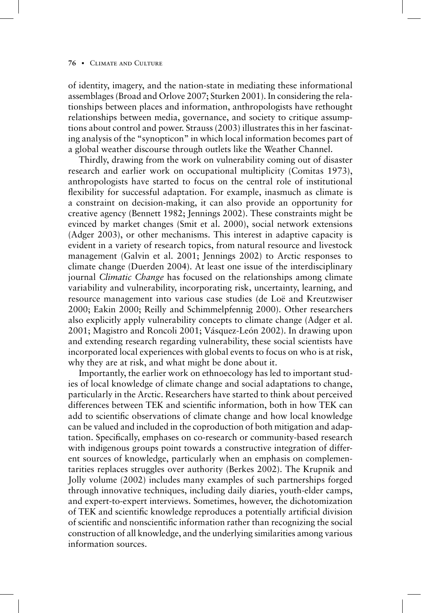of identity, imagery, and the nation-state in mediating these informational assemblages (Broad and Orlove 2007; Sturken 2001). In considering the relationships between places and information, anthropologists have rethought relationships between media, governance, and society to critique assumptions about control and power. Strauss (2003) illustrates this in her fascinating analysis of the "synopticon" in which local information becomes part of a global weather discourse through outlets like the Weather Channel.

Thirdly, drawing from the work on vulnerability coming out of disaster research and earlier work on occupational multiplicity (Comitas 1973), anthropologists have started to focus on the central role of institutional flexibility for successful adaptation. For example, inasmuch as climate is a constraint on decision-making, it can also provide an opportunity for creative agency (Bennett 1982; Jennings 2002). These constraints might be evinced by market changes (Smit et al. 2000), social network extensions (Adger 2003), or other mechanisms. This interest in adaptive capacity is evident in a variety of research topics, from natural resource and livestock management (Galvin et al. 2001; Jennings 2002) to Arctic responses to climate change (Duerden 2004). At least one issue of the interdisciplinary journal *Climatic Change* has focused on the relationships among climate variability and vulnerability, incorporating risk, uncertainty, learning, and resource management into various case studies (de Loë and Kreutzwiser 2000; Eakin 2000; Reilly and Schimmelpfennig 2000). Other researchers also explicitly apply vulnerability concepts to climate change (Adger et al. 2001; Magistro and Roncoli 2001; Vásquez-León 2002). In drawing upon and extending research regarding vulnerability, these social scientists have incorporated local experiences with global events to focus on who is at risk, why they are at risk, and what might be done about it.

Importantly, the earlier work on ethnoecology has led to important studies of local knowledge of climate change and social adaptations to change, particularly in the Arctic. Researchers have started to think about perceived differences between TEK and scientific information, both in how TEK can add to scientific observations of climate change and how local knowledge can be valued and included in the coproduction of both mitigation and adaptation. Specifically, emphases on co-research or community-based research with indigenous groups point towards a constructive integration of different sources of knowledge, particularly when an emphasis on complementarities replaces struggles over authority (Berkes 2002). The Krupnik and Jolly volume (2002) includes many examples of such partnerships forged through innovative techniques, including daily diaries, youth-elder camps, and expert-to-expert interviews. Sometimes, however, the dichotomization of TEK and scientific knowledge reproduces a potentially artificial division of scientific and nonscientific information rather than recognizing the social construction of all knowledge, and the underlying similarities among various information sources.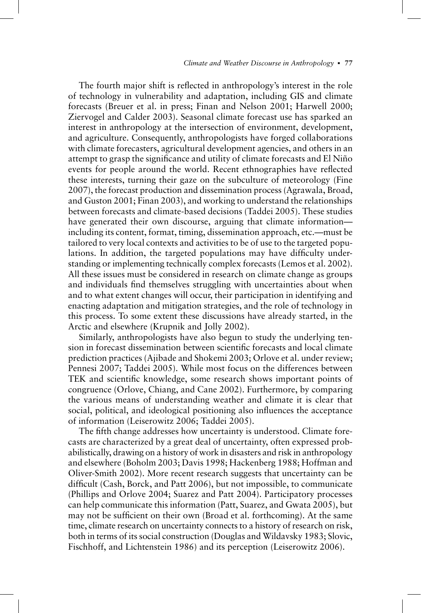The fourth major shift is reflected in anthropology's interest in the role of technology in vulnerability and adaptation, including GIS and climate forecasts (Breuer et al. in press; Finan and Nelson 2001; Harwell 2000; Ziervogel and Calder 2003). Seasonal climate forecast use has sparked an interest in anthropology at the intersection of environment, development, and agriculture. Consequently, anthropologists have forged collaborations with climate forecasters, agricultural development agencies, and others in an attempt to grasp the significance and utility of climate forecasts and El Niño events for people around the world. Recent ethnographies have reflected these interests, turning their gaze on the subculture of meteorology (Fine 2007), the forecast production and dissemination process (Agrawala, Broad, and Guston 2001; Finan 2003), and working to understand the relationships between forecasts and climate-based decisions (Taddei 2005). These studies have generated their own discourse, arguing that climate information including its content, format, timing, dissemination approach, etc.—must be tailored to very local contexts and activities to be of use to the targeted populations. In addition, the targeted populations may have difficulty understanding or implementing technically complex forecasts (Lemos et al. 2002). All these issues must be considered in research on climate change as groups and individuals find themselves struggling with uncertainties about when and to what extent changes will occur, their participation in identifying and enacting adaptation and mitigation strategies, and the role of technology in this process. To some extent these discussions have already started, in the Arctic and elsewhere (Krupnik and Jolly 2002).

Similarly, anthropologists have also begun to study the underlying tension in forecast dissemination between scientific forecasts and local climate prediction practices (Ajibade and Shokemi 2003; Orlove et al. under review; Pennesi 2007; Taddei 2005). While most focus on the differences between TEK and scientific knowledge, some research shows important points of congruence (Orlove, Chiang, and Cane 2002). Furthermore, by comparing the various means of understanding weather and climate it is clear that social, political, and ideological positioning also influences the acceptance of information (Leiserowitz 2006; Taddei 2005).

The fifth change addresses how uncertainty is understood. Climate forecasts are characterized by a great deal of uncertainty, often expressed probabilistically, drawing on a history of work in disasters and risk in anthropology and elsewhere (Boholm 2003; Davis 1998; Hackenberg 1988; Hoffman and Oliver-Smith 2002). More recent research suggests that uncertainty can be difficult (Cash, Borck, and Patt 2006), but not impossible, to communicate (Phillips and Orlove 2004; Suarez and Patt 2004). Participatory processes can help communicate this information (Patt, Suarez, and Gwata 2005), but may not be sufficient on their own (Broad et al. forthcoming). At the same time, climate research on uncertainty connects to a history of research on risk, both in terms of its social construction (Douglas and Wildavsky 1983; Slovic, Fischhoff, and Lichtenstein 1986) and its perception (Leiserowitz 2006).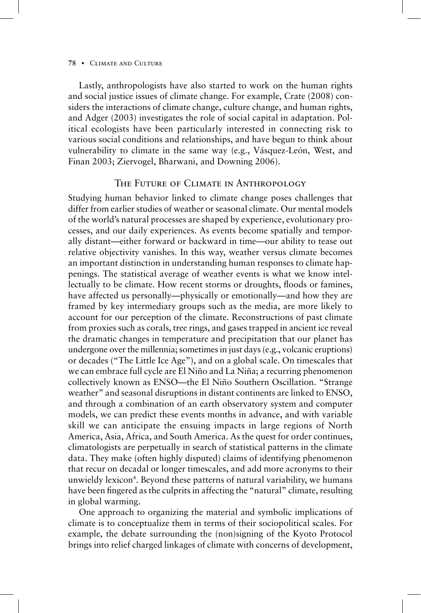Lastly, anthropologists have also started to work on the human rights and social justice issues of climate change. For example, Crate (2008) considers the interactions of climate change, culture change, and human rights, and Adger (2003) investigates the role of social capital in adaptation. Political ecologists have been particularly interested in connecting risk to various social conditions and relationships, and have begun to think about vulnerability to climate in the same way (e.g., Vásquez-León, West, and Finan 2003; Ziervogel, Bharwani, and Downing 2006).

## The Future of Climate in Anthropology

Studying human behavior linked to climate change poses challenges that differ from earlier studies of weather or seasonal climate. Our mental models of the world's natural processes are shaped by experience, evolutionary processes, and our daily experiences. As events become spatially and temporally distant—either forward or backward in time—our ability to tease out relative objectivity vanishes. In this way, weather versus climate becomes an important distinction in understanding human responses to climate happenings. The statistical average of weather events is what we know intellectually to be climate. How recent storms or droughts, floods or famines, have affected us personally—physically or emotionally—and how they are framed by key intermediary groups such as the media, are more likely to account for our perception of the climate. Reconstructions of past climate from proxies such as corals, tree rings, and gases trapped in ancient ice reveal the dramatic changes in temperature and precipitation that our planet has undergone over the millennia; sometimes in just days (e.g., volcanic eruptions) or decades ("The Little Ice Age"), and on a global scale. On timescales that we can embrace full cycle are El Niño and La Niña; a recurring phenomenon collectively known as ENSO—the El Niño Southern Oscillation. "Strange weather" and seasonal disruptions in distant continents are linked to ENSO, and through a combination of an earth observatory system and computer models, we can predict these events months in advance, and with variable skill we can anticipate the ensuing impacts in large regions of North America, Asia, Africa, and South America. As the quest for order continues, climatologists are perpetually in search of statistical patterns in the climate data. They make (often highly disputed) claims of identifying phenomenon that recur on decadal or longer timescales, and add more acronyms to their unwieldy lexicon<sup>4</sup>. Beyond these patterns of natural variability, we humans have been fingered as the culprits in affecting the "natural" climate, resulting in global warming.

One approach to organizing the material and symbolic implications of climate is to conceptualize them in terms of their sociopolitical scales. For example, the debate surrounding the (non)signing of the Kyoto Protocol brings into relief charged linkages of climate with concerns of development,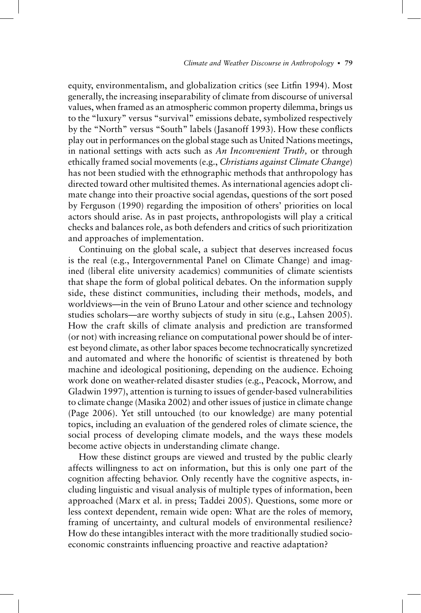equity, environmentalism, and globalization critics (see Litfin 1994). Most generally, the increasing inseparability of climate from discourse of universal values, when framed as an atmospheric common property dilemma, brings us to the "luxury" versus "survival" emissions debate, symbolized respectively by the "North" versus "South" labels (Jasanoff 1993). How these conflicts play out in performances on the global stage such as United Nations meetings, in national settings with acts such as *An Inconvenient Truth,* or through ethically framed social movements (e.g., *Christians against Climate Change*) has not been studied with the ethnographic methods that anthropology has directed toward other multisited themes. As international agencies adopt climate change into their proactive social agendas, questions of the sort posed by Ferguson (1990) regarding the imposition of others' priorities on local actors should arise. As in past projects, anthropologists will play a critical checks and balances role, as both defenders and critics of such prioritization and approaches of implementation.

Continuing on the global scale, a subject that deserves increased focus is the real (e.g., Intergovernmental Panel on Climate Change) and imagined (liberal elite university academics) communities of climate scientists that shape the form of global political debates. On the information supply side, these distinct communities, including their methods, models, and worldviews—in the vein of Bruno Latour and other science and technology studies scholars—are worthy subjects of study in situ (e.g., Lahsen 2005). How the craft skills of climate analysis and prediction are transformed (or not) with increasing reliance on computational power should be of interest beyond climate, as other labor spaces become technocratically syncretized and automated and where the honorific of scientist is threatened by both machine and ideological positioning, depending on the audience. Echoing work done on weather-related disaster studies (e.g., Peacock, Morrow, and Gladwin 1997), attention is turning to issues of gender-based vulnerabilities to climate change (Masika 2002) and other issues of justice in climate change (Page 2006). Yet still untouched (to our knowledge) are many potential topics, including an evaluation of the gendered roles of climate science, the social process of developing climate models, and the ways these models become active objects in understanding climate change.

How these distinct groups are viewed and trusted by the public clearly affects willingness to act on information, but this is only one part of the cognition affecting behavior. Only recently have the cognitive aspects, including linguistic and visual analysis of multiple types of information, been approached (Marx et al. in press; Taddei 2005). Questions, some more or less context dependent, remain wide open: What are the roles of memory, framing of uncertainty, and cultural models of environmental resilience? How do these intangibles interact with the more traditionally studied socioeconomic constraints influencing proactive and reactive adaptation?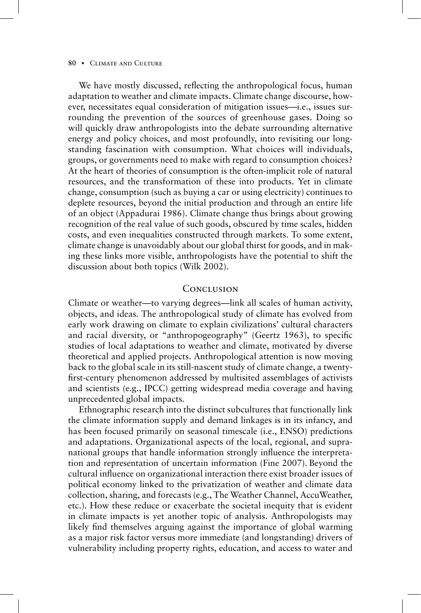#### 80 CLIMATE AND CULTURE

We have mostly discussed, reflecting the anthropological focus, human adaptation to weather and climate impacts. Climate change discourse, however, necessitates equal consideration of mitigation issues—i.e., issues surrounding the prevention of the sources of greenhouse gases. Doing so will quickly draw anthropologists into the debate surrounding alternative energy and policy choices, and most profoundly, into revisiting our longstanding fascination with consumption. What choices will individuals, groups, or governments need to make with regard to consumption choices? At the heart of theories of consumption is the often-implicit role of natural resources, and the transformation of these into products. Yet in climate change, consumption (such as buying a car or using electricity) continues to deplete resources, beyond the initial production and through an entire life of an object (Appadurai 1986). Climate change thus brings about growing recognition of the real value of such goods, obscured by time scales, hidden costs, and even inequalities constructed through markets. To some extent, climate change is unavoidably about our global thirst for goods, and in making these links more visible, anthropologists have the potential to shift the discussion about both topics (Wilk 2002).

### **CONCLUSION**

Climate or weather—to varying degrees—link all scales of human activity, objects, and ideas. The anthropological study of climate has evolved from early work drawing on climate to explain civilizations' cultural characters and racial diversity, or "anthropogeography" (Geertz 1963), to specific studies of local adaptations to weather and climate, motivated by diverse theoretical and applied projects. Anthropological attention is now moving back to the global scale in its still-nascent study of climate change, a twentyfirst-century phenomenon addressed by multisited assemblages of activists and scientists (e.g., IPCC) getting widespread media coverage and having unprecedented global impacts.

Ethnographic research into the distinct subcultures that functionally link the climate information supply and demand linkages is in its infancy, and has been focused primarily on seasonal timescale (i.e., ENSO) predictions and adaptations. Organizational aspects of the local, regional, and supranational groups that handle information strongly influence the interpretation and representation of uncertain information (Fine 2007). Beyond the cultural influence on organizational interaction there exist broader issues of political economy linked to the privatization of weather and climate data collection, sharing, and forecasts (e.g., The Weather Channel, AccuWeather, etc.). How these reduce or exacerbate the societal inequity that is evident in climate impacts is yet another topic of analysis. Anthropologists may likely find themselves arguing against the importance of global warming as a major risk factor versus more immediate (and longstanding) drivers of vulnerability including property rights, education, and access to water and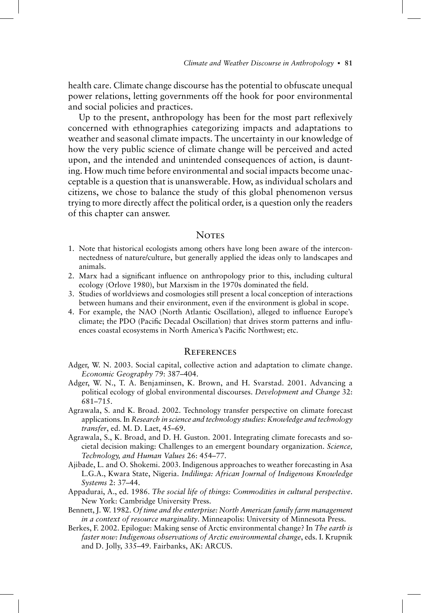health care. Climate change discourse has the potential to obfuscate unequal power relations, letting governments off the hook for poor environmental and social policies and practices.

Up to the present, anthropology has been for the most part reflexively concerned with ethnographies categorizing impacts and adaptations to weather and seasonal climate impacts. The uncertainty in our knowledge of how the very public science of climate change will be perceived and acted upon, and the intended and unintended consequences of action, is daunting. How much time before environmental and social impacts become unacceptable is a question that is unanswerable. How, as individual scholars and citizens, we chose to balance the study of this global phenomenon versus trying to more directly affect the political order, is a question only the readers of this chapter can answer.

### **NOTES**

- 1. Note that historical ecologists among others have long been aware of the interconnectedness of nature/culture, but generally applied the ideas only to landscapes and animals.
- 2. Marx had a significant influence on anthropology prior to this, including cultural ecology (Orlove 1980), but Marxism in the 1970s dominated the field.
- 3. Studies of worldviews and cosmologies still present a local conception of interactions between humans and their environment, even if the environment is global in scope.
- 4. For example, the NAO (North Atlantic Oscillation), alleged to influence Europe's climate; the PDO (Pacific Decadal Oscillation) that drives storm patterns and influences coastal ecosystems in North America's Pacific Northwest; etc.

### **REFERENCES**

- Adger, W. N. 2003. Social capital, collective action and adaptation to climate change. *Economic Geography* 79: 387–404.
- Adger, W. N., T. A. Benjaminsen, K. Brown, and H. Svarstad. 2001. Advancing a political ecology of global environmental discourses. *Development and Change* 32: 681–715.
- Agrawala, S. and K. Broad. 2002. Technology transfer perspective on climate forecast applications. In *Research in science and technology studies: Knowledge and technology transfer*, ed. M. D. Laet, 45–69.
- Agrawala, S., K. Broad, and D. H. Guston. 2001. Integrating climate forecasts and societal decision making: Challenges to an emergent boundary organization. *Science, Technology, and Human Values* 26: 454–77.
- Ajibade, L. and O. Shokemi. 2003. Indigenous approaches to weather forecasting in Asa L.G.A., Kwara State, Nigeria. *Indilinga: African Journal of Indigenous Knowledge Systems* 2: 37–44.
- Appadurai, A., ed. 1986. *The social life of things: Commodities in cultural perspective*. New York: Cambridge University Press.
- Bennett, J. W. 1982. *Of time and the enterprise: North American family farm management in a context of resource marginality*. Minneapolis: University of Minnesota Press.
- Berkes, F. 2002. Epilogue: Making sense of Arctic environmental change? In *The earth is faster now: Indigenous observations of Arctic environmental change*, eds. I. Krupnik and D. Jolly, 335–49. Fairbanks, AK: ARCUS.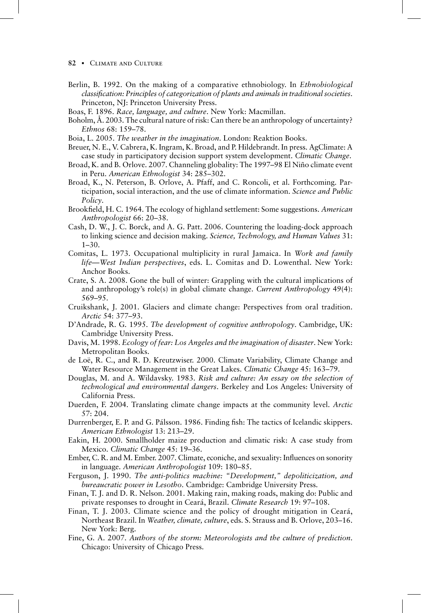- 82 CLIMATE AND CULTURE
- Berlin, B. 1992. On the making of a comparative ethnobiology. In *Ethnobiological classifi cation: Principles of categorization of plants and animals in traditional societies*. Princeton, NJ: Princeton University Press.
- Boas, F. 1896. *Race, language, and culture*. New York: Macmillan.
- Boholm, Å. 2003. The cultural nature of risk: Can there be an anthropology of uncertainty? *Ethnos* 68: 159–78.
- Boia, L. 2005. *The weather in the imagination*. London: Reaktion Books.
- Breuer, N. E., V. Cabrera, K. Ingram, K. Broad, and P. Hildebrandt. In press. AgClimate: A case study in participatory decision support system development. *Climatic Change*.
- Broad, K. and B. Orlove. 2007. Channeling globality: The 1997–98 El Niño climate event in Peru. *American Ethnologist* 34: 285–302.
- Broad, K., N. Peterson, B. Orlove, A. Pfaff, and C. Roncoli, et al. Forthcoming. Participation, social interaction, and the use of climate information. *Science and Public Policy*.
- Brookfield, H. C. 1964. The ecology of highland settlement: Some suggestions. American *Anthropologist* 66: 20–38.
- Cash, D. W., J. C. Borck, and A. G. Patt. 2006. Countering the loading-dock approach to linking science and decision making. *Science, Technology, and Human Values* 31: 1–30.
- Comitas, L. 1973. Occupational multiplicity in rural Jamaica. In *Work and family life—West Indian perspectives*, eds. L. Comitas and D. Lowenthal. New York: Anchor Books.
- Crate, S. A. 2008. Gone the bull of winter: Grappling with the cultural implications of and anthropology's role(s) in global climate change. *Current Anthropology* 49(4): 569–95.
- Cruikshank, J. 2001. Glaciers and climate change: Perspectives from oral tradition. *Arctic* 54: 377–93.
- D'Andrade, R. G. 1995. *The development of cognitive anthropology*. Cambridge, UK: Cambridge University Press.
- Davis, M. 1998. *Ecology of fear: Los Angeles and the imagination of disaster*. New York: Metropolitan Books.
- de Loë, R. C., and R. D. Kreutzwiser. 2000. Climate Variability, Climate Change and Water Resource Management in the Great Lakes. *Climatic Change* 45: 163–79.
- Douglas, M. and A. Wildavsky. 1983. *Risk and culture: An essay on the selection of technological and environmental dangers*. Berkeley and Los Angeles: University of California Press.
- Duerden, F. 2004. Translating climate change impacts at the community level. *Arctic* 57: 204.
- Durrenberger, E. P. and G. Pálsson. 1986. Finding fish: The tactics of Icelandic skippers. *American Ethnologist* 13: 213–29.
- Eakin, H. 2000. Smallholder maize production and climatic risk: A case study from Mexico. *Climatic Change* 45: 19–36.
- Ember, C. R. and M. Ember. 2007. Climate, econiche, and sexuality: Influences on sonority in language. *American Anthropologist* 109: 180–85.
- Ferguson, J. 1990. *The anti-politics machine: "Development," depoliticization, and bureaucratic power in Lesotho*. Cambridge: Cambridge University Press.
- Finan, T. J. and D. R. Nelson. 2001. Making rain, making roads, making do: Public and private responses to drought in Ceará, Brazil. *Climate Research* 19: 97–108.
- Finan, T. J. 2003. Climate science and the policy of drought mitigation in Ceará, Northeast Brazil. In *Weather, climate, culture*, eds. S. Strauss and B. Orlove, 203–16. New York: Berg.
- Fine, G. A. 2007. *Authors of the storm: Meteorologists and the culture of prediction*. Chicago: University of Chicago Press.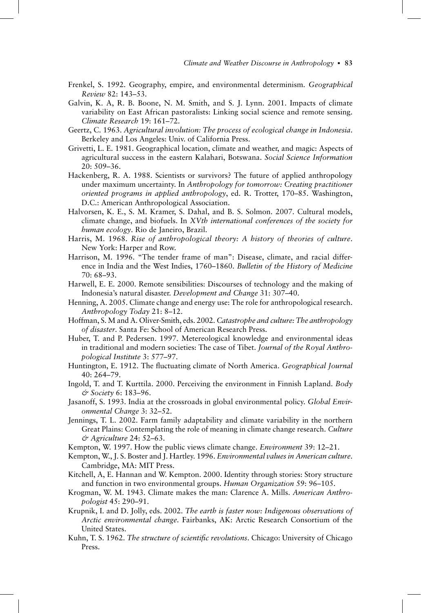- Frenkel, S. 1992. Geography, empire, and environmental determinism. *Geographical Review* 82: 143–53.
- Galvin, K. A, R. B. Boone, N. M. Smith, and S. J. Lynn. 2001. Impacts of climate variability on East African pastoralists: Linking social science and remote sensing. *Climate Research* 19: 161–72.
- Geertz, C. 1963. *Agricultural involution: The process of ecological change in Indonesia*. Berkeley and Los Angeles: Univ. of California Press.
- Grivetti, L. E. 1981. Geographical location, climate and weather, and magic: Aspects of agricultural success in the eastern Kalahari, Botswana. *Social Science Information* 20: 509–36.
- Hackenberg, R. A. 1988. Scientists or survivors? The future of applied anthropology under maximum uncertainty. In *Anthropology for tomorrow: Creating practitioner oriented programs in applied anthropology*, ed. R. Trotter, 170–85. Washington, D.C.: American Anthropological Association.
- Halvorsen, K. E., S. M. Kramer, S. Dahal, and B. S. Solmon. 2007. Cultural models, climate change, and biofuels. In *XVth international conferences of the society for human ecology*. Rio de Janeiro, Brazil.
- Harris, M. 1968. *Rise of anthropological theory: A history of theories of culture*. New York: Harper and Row.
- Harrison, M. 1996. "The tender frame of man": Disease, climate, and racial difference in India and the West Indies, 1760–1860. *Bulletin of the History of Medicine* 70: 68–93.
- Harwell, E. E. 2000. Remote sensibilities: Discourses of technology and the making of Indonesia's natural disaster. *Development and Change* 31: 307–40.
- Henning, A. 2005. Climate change and energy use: The role for anthropological research. *Anthropology Today* 21: 8–12.
- Hoffman, S. M and A. Oliver-Smith, eds. 2002. *Catastrophe and culture: The anthropology of disaster*. Santa Fe: School of American Research Press.
- Huber, T. and P. Pedersen. 1997. Metereological knowledge and environmental ideas in traditional and modern societies: The case of Tibet. *Journal of the Royal Anthropological Institute* 3: 577–97.
- Huntington, E. 1912. The fluctuating climate of North America. *Geographical Journal* 40: 264–79.
- Ingold, T. and T. Kurttila. 2000. Perceiving the environment in Finnish Lapland. *Body & Society* 6: 183–96.
- Jasanoff, S. 1993. India at the crossroads in global environmental policy. *Global Environmental Change* 3: 32–52.
- Jennings, T. L. 2002. Farm family adaptability and climate variability in the northern Great Plains: Contemplating the role of meaning in climate change research. *Culture & Agriculture* 24: 52–63.
- Kempton, W. 1997. How the public views climate change. *Environment* 39: 12–21.
- Kempton, W., J. S. Boster and J. Hartley. 1996. *Environmental values in American culture*. Cambridge, MA: MIT Press.
- Kitchell, A, E. Hannan and W. Kempton. 2000. Identity through stories: Story structure and function in two environmental groups. *Human Organization* 59: 96–105.
- Krogman, W. M. 1943. Climate makes the man: Clarence A. Mills. *American Anthropologist* 45: 290–91.
- Krupnik, I. and D. Jolly, eds. 2002. *The earth is faster now: Indigenous observations of Arctic environmental change*. Fairbanks, AK: Arctic Research Consortium of the United States.
- Kuhn, T. S. 1962. *The structure of scientific revolutions*. Chicago: University of Chicago Press.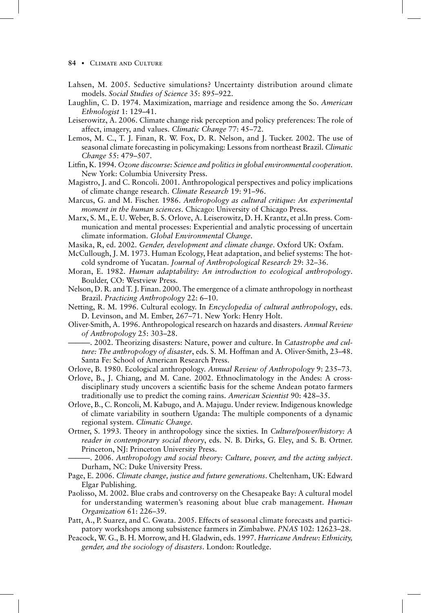#### 84 CLIMATE AND CULTURE

- Lahsen, M. 2005. Seductive simulations? Uncertainty distribution around climate models. *Social Studies of Science* 35: 895–922.
- Laughlin, C. D. 1974. Maximization, marriage and residence among the So. *American Ethnologist* 1: 129–41.
- Leiserowitz, A. 2006. Climate change risk perception and policy preferences: The role of affect, imagery, and values. *Climatic Change* 77: 45–72.
- Lemos, M. C., T. J. Finan, R. W. Fox, D. R. Nelson, and J. Tucker. 2002. The use of seasonal climate forecasting in policymaking: Lessons from northeast Brazil. *Climatic Change* 55: 479–507.
- Litfin, K. 1994. Ozone discourse: Science and politics in global environmental cooperation. New York: Columbia University Press.
- Magistro, J. and C. Roncoli. 2001. Anthropological perspectives and policy implications of climate change research. *Climate Research* 19: 91–96.
- Marcus, G. and M. Fischer. 1986. *Anthropology as cultural critique: An experimental moment in the human sciences*. Chicago: University of Chicago Press.
- Marx, S. M., E. U. Weber, B. S. Orlove, A. Leiserowitz, D. H. Krantz, et al.In press. Communication and mental processes: Experiential and analytic processing of uncertain climate information. *Global Environmental Change*.
- Masika, R, ed. 2002. *Gender, development and climate change*. Oxford UK: Oxfam.
- McCullough, J. M. 1973. Human Ecology, Heat adaptation, and belief systems: The hotcold syndrome of Yucatan. *Journal of Anthropological Research* 29: 32–36.
- Moran, E. 1982. *Human adaptability: An introduction to ecological anthropology*. Boulder, CO: Westview Press.
- Nelson, D. R. and T. J. Finan. 2000. The emergence of a climate anthropology in northeast Brazil. *Practicing Anthropology* 22: 6–10.
- Netting, R. M. 1996. Cultural ecology. In *Encyclopedia of cultural anthropology*, eds. D. Levinson, and M. Ember, 267–71. New York: Henry Holt.
- Oliver-Smith, A. 1996. Anthropological research on hazards and disasters. *Annual Review of Anthropology* 25: 303–28.
	- -, 2002. Theorizing disasters: Nature, power and culture. In *Catastrophe and culture: The anthropology of disaster*, eds. S. M. Hoffman and A. Oliver-Smith, 23–48. Santa Fe: School of American Research Press.

Orlove, B. 1980. Ecological anthropology. *Annual Review of Anthropology* 9: 235–73.

- Orlove, B., J. Chiang, and M. Cane. 2002. Ethnoclimatology in the Andes: A crossdisciplinary study uncovers a scientific basis for the scheme Andean potato farmers traditionally use to predict the coming rains. *American Scientist* 90: 428–35.
- Orlove, B., C. Roncoli, M. Kabugo, and A. Majugu. Under review. Indigenous knowledge of climate variability in southern Uganda: The multiple components of a dynamic regional system. *Climatic Change*.
- Ortner, S. 1993. Theory in anthropology since the sixties. In *Culture/power/history: A reader in contemporary social theory*, eds. N. B. Dirks, G. Eley, and S. B. Ortner. Princeton, NJ: Princeton University Press.

———. 2006. *Anthropology and social theory: Culture, power, and the acting subject*. Durham, NC: Duke University Press.

- Page, E. 2006. *Climate change, justice and future generations*. Cheltenham, UK: Edward Elgar Publishing.
- Paolisso, M. 2002. Blue crabs and controversy on the Chesapeake Bay: A cultural model for understanding watermen's reasoning about blue crab management. *Human Organization* 61: 226–39.
- Patt, A., P. Suarez, and C. Gwata. 2005. Effects of seasonal climate forecasts and participatory workshops among subsistence farmers in Zimbabwe. *PNAS* 102: 12623–28.
- Peacock, W. G., B. H. Morrow, and H. Gladwin, eds. 1997. *Hurricane Andrew: Ethnicity, gender, and the sociology of disasters*. London: Routledge.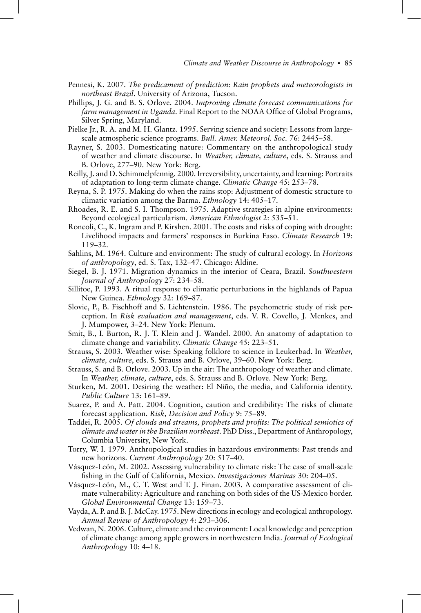- Pennesi, K. 2007. *The predicament of prediction: Rain prophets and meteorologists in northeast Brazil*. University of Arizona, Tucson.
- Phillips, J. G. and B. S. Orlove. 2004. *Improving climate forecast communications for*  farm management in Uganda. Final Report to the NOAA Office of Global Programs, Silver Spring, Maryland.
- Pielke Jr., R. A. and M. H. Glantz. 1995. Serving science and society: Lessons from largescale atmospheric science programs. *Bull. Amer. Meteorol. Soc.* 76: 2445–58.
- Rayner, S. 2003. Domesticating nature: Commentary on the anthropological study of weather and climate discourse. In *Weather, climate, culture*, eds. S. Strauss and B. Orlove, 277–90. New York: Berg.
- Reilly, J. and D. Schimmelpfennig. 2000. Irreversibility, uncertainty, and learning: Portraits of adaptation to long-term climate change. *Climatic Change* 45: 253–78.
- Reyna, S. P. 1975. Making do when the rains stop: Adjustment of domestic structure to climatic variation among the Barma. *Ethnology* 14: 405–17.
- Rhoades, R. E. and S. I. Thompson. 1975. Adaptive strategies in alpine environments: Beyond ecological particularism. *American Ethnologist* 2: 535–51.
- Roncoli, C., K. Ingram and P. Kirshen. 2001. The costs and risks of coping with drought: Livelihood impacts and farmers' responses in Burkina Faso. *Climate Research* 19: 119–32.
- Sahlins, M. 1964. Culture and environment: The study of cultural ecology. In *Horizons of anthropology*, ed. S. Tax, 132–47. Chicago: Aldine.
- Siegel, B. J. 1971. Migration dynamics in the interior of Ceara, Brazil. *Southwestern Journal of Anthropology* 27: 234–58.
- Sillitoe, P. 1993. A ritual response to climatic perturbations in the highlands of Papua New Guinea. *Ethnology* 32: 169–87.
- Slovic, P., B. Fischhoff and S. Lichtenstein. 1986. The psychometric study of risk perception. In *Risk evaluation and management*, eds. V. R. Covello, J. Menkes, and J. Mumpower, 3–24. New York: Plenum.
- Smit, B., I. Burton, R. J. T. Klein and J. Wandel. 2000. An anatomy of adaptation to climate change and variability. *Climatic Change* 45: 223–51.
- Strauss, S. 2003. Weather wise: Speaking folklore to science in Leukerbad. In *Weather, climate, culture*, eds. S. Strauss and B. Orlove, 39–60. New York: Berg.
- Strauss, S. and B. Orlove. 2003. Up in the air: The anthropology of weather and climate. In *Weather, climate, culture*, eds. S. Strauss and B. Orlove. New York: Berg.
- Sturken, M. 2001. Desiring the weather: El Niño, the media, and California identity. *Public Culture* 13: 161–89.
- Suarez, P. and A. Patt. 2004. Cognition, caution and credibility: The risks of climate forecast application. *Risk, Decision and Policy* 9: 75–89.
- Taddei, R. 2005. Of clouds and streams, prophets and profits: The political semiotics of *climate and water in the Brazilian northeast*. PhD Diss., Department of Anthropology, Columbia University, New York.
- Torry, W. I. 1979. Anthropological studies in hazardous environments: Past trends and new horizons. *Current Anthropology* 20: 517–40.
- Vásquez-León, M. 2002. Assessing vulnerability to climate risk: The case of small-scale fi shing in the Gulf of California, Mexico. *Investigaciones Marinas* 30: 204–05.
- Vásquez-León, M., C. T. West and T. J. Finan. 2003. A comparative assessment of climate vulnerability: Agriculture and ranching on both sides of the US-Mexico border. *Global Environmental Change* 13: 159–73.
- Vayda, A. P. and B. J. McCay. 1975. New directions in ecology and ecological anthropology. *Annual Review of Anthropology* 4: 293–306.
- Vedwan, N. 2006. Culture, climate and the environment: Local knowledge and perception of climate change among apple growers in northwestern India. *Journal of Ecological Anthropology* 10: 4–18.